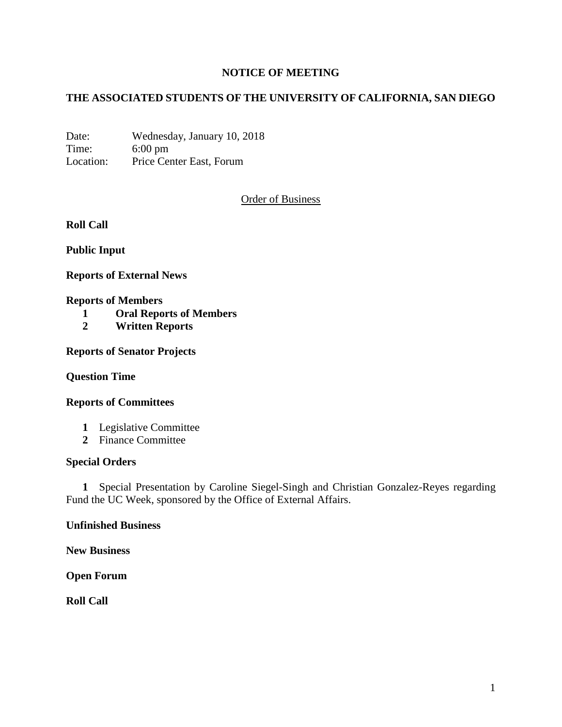# **NOTICE OF MEETING**

# **THE ASSOCIATED STUDENTS OF THE UNIVERSITY OF CALIFORNIA, SAN DIEGO**

Date: Wednesday, January 10, 2018 Time: 6:00 pm Location: Price Center East, Forum

Order of Business

**Roll Call**

**Public Input**

**Reports of External News**

#### **Reports of Members**

- **1 Oral Reports of Members**
- **2 Written Reports**

**Reports of Senator Projects**

**Question Time**

### **Reports of Committees**

- **1** Legislative Committee
- **2** Finance Committee

# **Special Orders**

 **1** Special Presentation by Caroline Siegel-Singh and Christian Gonzalez-Reyes regarding Fund the UC Week, sponsored by the Office of External Affairs.

### **Unfinished Business**

**New Business**

**Open Forum**

**Roll Call**